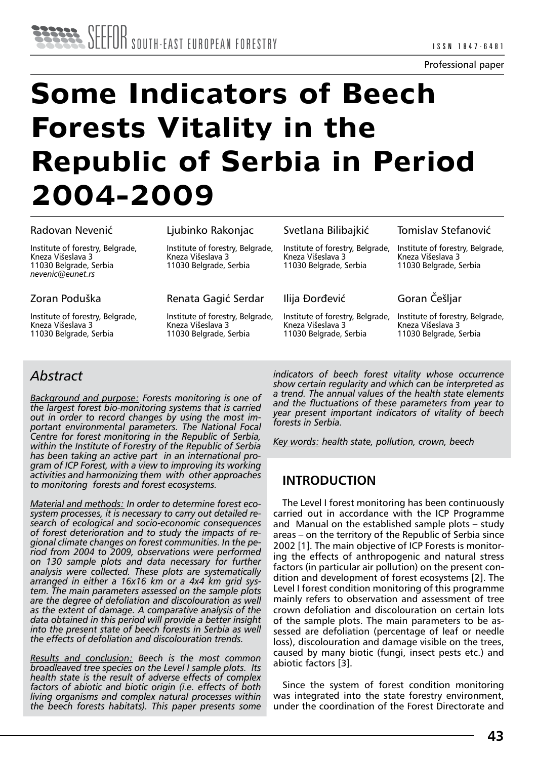#### Professional paper

# **Some Indicators of Beech Forests Vitality in the Republic of Serbia in Period 2004-2009**

#### Radovan Nevenić

Institute of forestry, Belgrade, Kneza Višeslava 3 11030 Belgrade, Serbia *nevenic@eunet.rs* 

## Zoran Poduška

Institute of forestry, Belgrade, Kneza Višeslava 3 11030 Belgrade, Serbia

## Ljubinko Rakonjac

Institute of forestry, Belgrade, Kneza Višeslava 3 11030 Belgrade, Serbia

Renata Gagić Serdar

Institute of forestry, Belgrade, Kneza Višeslava 3 11030 Belgrade, Serbia

## Svetlana Bilibajkić

Institute of forestry, Belgrade, Kneza Višeslava 3 11030 Belgrade, Serbia

## Ilija Ðorđević

Institute of forestry, Belgrade, Kneza Višeslava 3 11030 Belgrade, Serbia

Tomislav Stefanović

Institute of forestry, Belgrade, Kneza Višeslava 3 11030 Belgrade, Serbia

Goran Češljar

Institute of forestry, Belgrade, Kneza Višeslava 3 11030 Belgrade, Serbia

# *Abstract*

*Background and purpose: Forests monitoring is one of the largest forest bio-monitoring systems that is carried out in order to record changes by using the most important environmental parameters. The National Focal Centre for forest monitoring in the Republic of Serbia, within the Institute of Forestry of the Republic of Serbia has been taking an active part in an international program of ICP Forest, with a view to improving its working activities and harmonizing them with other approaches to monitoring forests and forest ecosystems.* 

*Material and methods: In order to determine forest ecosystem processes, it is necessary to carry out detailed research of ecological and socio-economic consequences of forest deterioration and to study the impacts of regional climate changes on forest communities. In the period from 2004 to 2009, observations were performed on 130 sample plots and data necessary for further analysis were collected. These plots are systematically arranged in either a 16x16 km or a 4x4 km grid system. The main parameters assessed on the sample plots are the degree of defoliation and discolouration as well as the extent of damage. A comparative analysis of the data obtained in this period will provide a better insight into the present state of beech forests in Serbia as well the effects of defoliation and discolouration trends.*

*Results and conclusion: Beech is the most common broadleaved tree species on the Level I sample plots. Its health state is the result of adverse effects of complex factors of abiotic and biotic origin (i.e. effects of both living organisms and complex natural processes within the beech forests habitats). This paper presents some*  *indicators of beech forest vitality whose occurrence show certain regularity and which can be interpreted as a trend. The annual values of the health state elements and the fluctuations of these parameters from year to year present important indicators of vitality of beech forests in Serbia.*

*Key words: health state, pollution, crown, beech*

## **INTRODUCTION**

The Level I forest monitoring has been continuously carried out in accordance with the ICP Programme and Manual on the established sample plots – study areas – on the territory of the Republic of Serbia since 2002 [1]. The main objective of ICP Forests is monitoring the effects of anthropogenic and natural stress factors (in particular air pollution) on the present condition and development of forest ecosystems [2]. The Level I forest condition monitoring of this programme mainly refers to observation and assessment of tree crown defoliation and discolouration on certain lots of the sample plots. The main parameters to be assessed are defoliation (percentage of leaf or needle loss), discolouration and damage visible on the trees, caused by many biotic (fungi, insect pests etc.) and abiotic factors [3].

Since the system of forest condition monitoring was integrated into the state forestry environment, under the coordination of the Forest Directorate and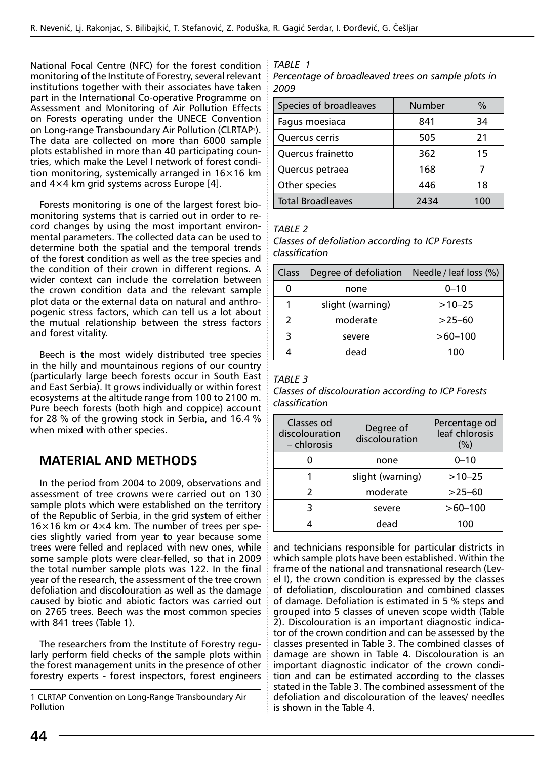National Focal Centre (NFC) for the forest condition monitoring of the Institute of Forestry, several relevant institutions together with their associates have taken part in the International Co-operative Programme on Assessment and Monitoring of Air Pollution Effects on Forests operating under the UNECE Convention on Long-range Transboundary Air Pollution (CLRTAP1). The data are collected on more than 6000 sample plots established in more than 40 participating countries, which make the Level I network of forest condition monitoring, systemically arranged in 16×16 km and  $4\times4$  km grid systems across Europe [4].

Forests monitoring is one of the largest forest biomonitoring systems that is carried out in order to record changes by using the most important environmental parameters. The collected data can be used to determine both the spatial and the temporal trends of the forest condition as well as the tree species and the condition of their crown in different regions. A wider context can include the correlation between the crown condition data and the relevant sample plot data or the external data on natural and anthropogenic stress factors, which can tell us a lot about the mutual relationship between the stress factors and forest vitality.

Beech is the most widely distributed tree species in the hilly and mountainous regions of our country (particularly large beech forests occur in South East and East Serbia). It grows individually or within forest ecosystems at the altitude range from 100 to 2100 m. Pure beech forests (both high and coppice) account for 28 % of the growing stock in Serbia, and 16.4 % when mixed with other species.

## **MATERIAL AND METHODS**

In the period from 2004 to 2009, observations and assessment of tree crowns were carried out on 130 sample plots which were established on the territory of the Republic of Serbia, in the grid system of either  $16\times16$  km or  $4\times4$  km. The number of trees per species slightly varied from year to year because some trees were felled and replaced with new ones, while some sample plots were clear-felled, so that in 2009 the total number sample plots was 122. In the final year of the research, the assessment of the tree crown defoliation and discolouration as well as the damage caused by biotic and abiotic factors was carried out on 2765 trees. Beech was the most common species with 841 trees (Table 1).

The researchers from the Institute of Forestry regularly perform field checks of the sample plots within the forest management units in the presence of other forestry experts - forest inspectors, forest engineers

1 CLRTAP Convention on Long-Range Transboundary Air Pollution

*TABLE 1 Percentage of broadleaved trees on sample plots in 2009*

| Species of broadleaves   | Number | $\%$ |
|--------------------------|--------|------|
| Fagus moesiaca           | 841    | 34   |
| Quercus cerris           | 505    | 21   |
| Quercus frainetto        | 362    | 15   |
| Quercus petraea          | 168    |      |
| Other species            | 446    | 18   |
| <b>Total Broadleaves</b> | 2434   |      |

#### *TABLE 2*

| Classes of defoliation according to ICP Forests |  |
|-------------------------------------------------|--|
| classification                                  |  |

| Class         | Degree of defoliation | Needle / leaf loss (%) |  |  |
|---------------|-----------------------|------------------------|--|--|
| ი             | none                  | $0 - 10$               |  |  |
|               | slight (warning)      | $>10 - 25$             |  |  |
| $\mathcal{P}$ | moderate              | $>25-60$               |  |  |
| 3             | severe                | $>60 - 100$            |  |  |
|               | dead                  | 100                    |  |  |

#### *TABLE 3*

*Classes of discolouration according to ICP Forests classification*

| Classes od<br>discolouration<br>– chlorosis | Degree of<br>discolouration | Percentage od<br>leaf chlorosis<br>(%) |
|---------------------------------------------|-----------------------------|----------------------------------------|
|                                             | none                        | $0 - 10$                               |
|                                             | slight (warning)            | $>10-25$                               |
|                                             | moderate                    | $>25-60$                               |
|                                             | severe                      | $>60 - 100$                            |
|                                             | dead                        | 100                                    |

and technicians responsible for particular districts in which sample plots have been established. Within the frame of the national and transnational research (Level I), the crown condition is expressed by the classes of defoliation, discolouration and combined classes of damage. Defoliation is estimated in 5 % steps and grouped into 5 classes of uneven scope width (Table 2). Discolouration is an important diagnostic indicator of the crown condition and can be assessed by the classes presented in Table 3. The combined classes of damage are shown in Table 4. Discolouration is an important diagnostic indicator of the crown condition and can be estimated according to the classes stated in the Table 3. The combined assessment of the defoliation and discolouration of the leaves/ needles is shown in the Table 4.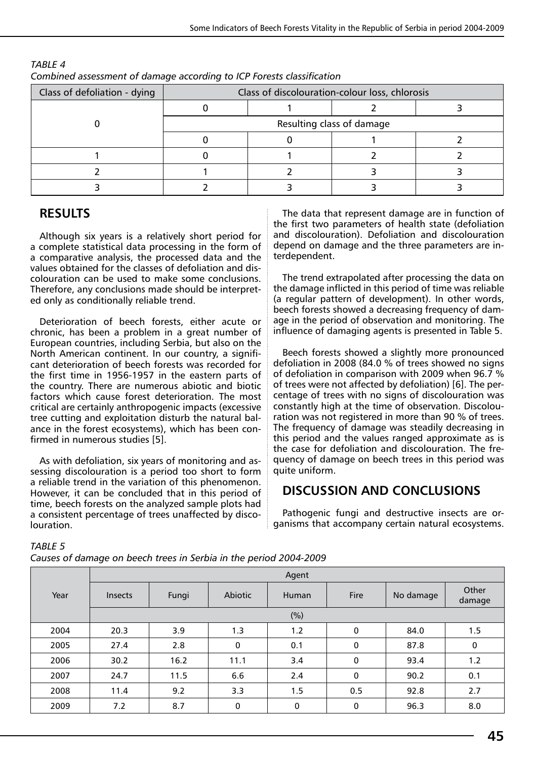| complica assessment or admage according to ren rorests classification |                                                |  |  |  |  |
|-----------------------------------------------------------------------|------------------------------------------------|--|--|--|--|
| Class of defoliation - dying                                          | Class of discolouration-colour loss, chlorosis |  |  |  |  |
|                                                                       |                                                |  |  |  |  |
|                                                                       | Resulting class of damage                      |  |  |  |  |
|                                                                       |                                                |  |  |  |  |
|                                                                       |                                                |  |  |  |  |
|                                                                       |                                                |  |  |  |  |
|                                                                       |                                                |  |  |  |  |

## *TABLE 4 Combined assessment of damage according to ICP Forests classification*

## **RESULTS**

Although six years is a relatively short period for a complete statistical data processing in the form of a comparative analysis, the processed data and the values obtained for the classes of defoliation and discolouration can be used to make some conclusions. Therefore, any conclusions made should be interpreted only as conditionally reliable trend.

Deterioration of beech forests, either acute or chronic, has been a problem in a great number of European countries, including Serbia, but also on the North American continent. In our country, a significant deterioration of beech forests was recorded for the first time in 1956-1957 in the eastern parts of the country. There are numerous abiotic and biotic factors which cause forest deterioration. The most critical are certainly anthropogenic impacts (excessive tree cutting and exploitation disturb the natural balance in the forest ecosystems), which has been confirmed in numerous studies [5].

As with defoliation, six years of monitoring and assessing discolouration is a period too short to form a reliable trend in the variation of this phenomenon. However, it can be concluded that in this period of time, beech forests on the analyzed sample plots had a consistent percentage of trees unaffected by discolouration.

The data that represent damage are in function of the first two parameters of health state (defoliation and discolouration). Defoliation and discolouration depend on damage and the three parameters are interdependent.

The trend extrapolated after processing the data on the damage inflicted in this period of time was reliable (a regular pattern of development). In other words, beech forests showed a decreasing frequency of damage in the period of observation and monitoring. The influence of damaging agents is presented in Table 5.

Beech forests showed a slightly more pronounced defoliation in 2008 (84.0 % of trees showed no signs of defoliation in comparison with 2009 when 96.7 % of trees were not affected by defoliation) [6]. The percentage of trees with no signs of discolouration was constantly high at the time of observation. Discolouration was not registered in more than 90 % of trees. The frequency of damage was steadily decreasing in this period and the values ranged approximate as is the case for defoliation and discolouration. The frequency of damage on beech trees in this period was quite uniform.

## **DISCUSSION AND CONCLUSIONS**

Pathogenic fungi and destructive insects are organisms that accompany certain natural ecosystems.

#### *TABLE 5*

*Causes of damage on beech trees in Serbia in the period 2004-2009*

|      | Agent          |       |         |       |             |           |                 |
|------|----------------|-------|---------|-------|-------------|-----------|-----------------|
| Year | <b>Insects</b> | Fungi | Abiotic | Human | Fire        | No damage | Other<br>damage |
|      |                |       |         | (%)   |             |           |                 |
| 2004 | 20.3           | 3.9   | 1.3     | 1.2   | $\mathbf 0$ | 84.0      | 1.5             |
| 2005 | 27.4           | 2.8   | 0       | 0.1   | 0           | 87.8      | 0               |
| 2006 | 30.2           | 16.2  | 11.1    | 3.4   | 0           | 93.4      | 1.2             |
| 2007 | 24.7           | 11.5  | 6.6     | 2.4   | $\mathbf 0$ | 90.2      | 0.1             |
| 2008 | 11.4           | 9.2   | 3.3     | 1.5   | 0.5         | 92.8      | 2.7             |
| 2009 | 7.2            | 8.7   | 0       | 0     | $\mathbf 0$ | 96.3      | 8.0             |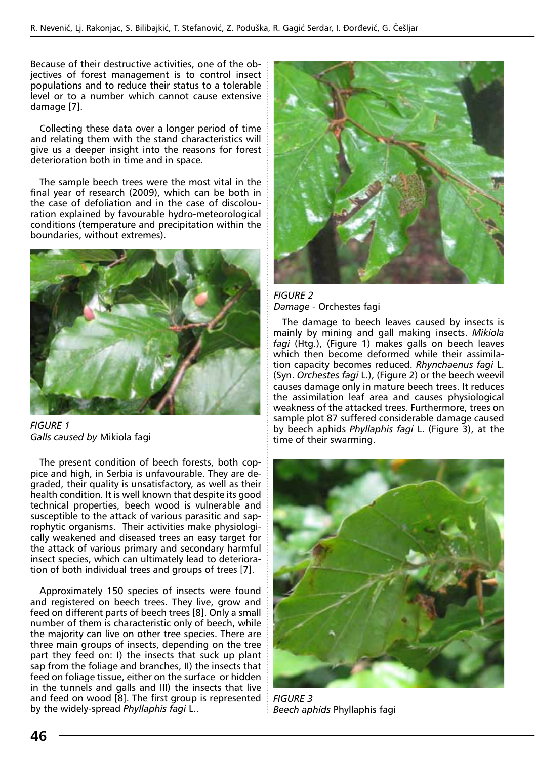Because of their destructive activities, one of the objectives of forest management is to control insect populations and to reduce their status to a tolerable level or to a number which cannot cause extensive damage [7].

Collecting these data over a longer period of time and relating them with the stand characteristics will give us a deeper insight into the reasons for forest deterioration both in time and in space.

The sample beech trees were the most vital in the final year of research (2009), which can be both in the case of defoliation and in the case of discolouration explained by favourable hydro-meteorological conditions (temperature and precipitation within the boundaries, without extremes).



*FIGURE 1 Galls caused by* Mikiola fagi

The present condition of beech forests, both coppice and high, in Serbia is unfavourable. They are degraded, their quality is unsatisfactory, as well as their health condition. It is well known that despite its good technical properties, beech wood is vulnerable and susceptible to the attack of various parasitic and saprophytic organisms. Their activities make physiologically weakened and diseased trees an easy target for the attack of various primary and secondary harmful insect species, which can ultimately lead to deterioration of both individual trees and groups of trees [7].

Approximately 150 species of insects were found and registered on beech trees. They live, grow and feed on different parts of beech trees [8]. Only a small number of them is characteristic only of beech, while the majority can live on other tree species. There are three main groups of insects, depending on the tree part they feed on: I) the insects that suck up plant sap from the foliage and branches, II) the insects that feed on foliage tissue, either on the surface or hidden in the tunnels and galls and III) the insects that live and feed on wood [8]. The first group is represented by the widely-spread *Phyllaphis fagi* L..



*FIGURE 2 Damage -* Orchestes fagi

The damage to beech leaves caused by insects is mainly by mining and gall making insects. *Mikiola fagi* (Htg.), (Figure 1) makes galls on beech leaves which then become deformed while their assimilation capacity becomes reduced. *Rhynchaenus fagi* L. (Syn. *Orchestes fagi* L.), (Figure 2) or the beech weevil causes damage only in mature beech trees. It reduces the assimilation leaf area and causes physiological weakness of the attacked trees. Furthermore, trees on sample plot 87 suffered considerable damage caused by beech aphids *Phyllaphis fagi* L. (Figure 3), at the time of their swarming.



*FIGURE 3 Beech aphids* Phyllaphis fagi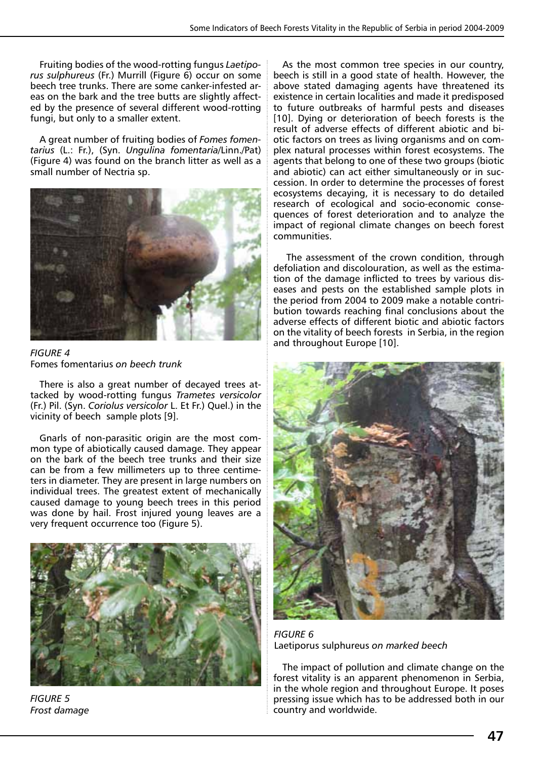Fruiting bodies of the wood-rotting fungus *Laetiporus sulphureus* (Fr.) Murrill (Figure 6) occur on some beech tree trunks. There are some canker-infested areas on the bark and the tree butts are slightly affected by the presence of several different wood-rotting fungi, but only to a smaller extent.

A great number of fruiting bodies of *Fomes fomentarius* (L.: Fr.), (Syn. *Ungulina fomentaria*/Linn./Pat) (Figure 4) was found on the branch litter as well as a small number of Nectria sp.



*FIGURE 4*  Fomes fomentarius *on beech trunk*

There is also a great number of decayed trees attacked by wood-rotting fungus *Trametes versicolor*  (Fr.) Pil. (Syn. *Coriolus versicolor* L. Et Fr.) Quel.) in the vicinity of beech sample plots [9].

Gnarls of non-parasitic origin are the most common type of abiotically caused damage. They appear on the bark of the beech tree trunks and their size can be from a few millimeters up to three centimeters in diameter. They are present in large numbers on individual trees. The greatest extent of mechanically caused damage to young beech trees in this period was done by hail. Frost injured young leaves are a very frequent occurrence too (Figure 5).



*FIGURE 5 Frost damage*

As the most common tree species in our country, beech is still in a good state of health. However, the above stated damaging agents have threatened its existence in certain localities and made it predisposed to future outbreaks of harmful pests and diseases [10]. Dying or deterioration of beech forests is the result of adverse effects of different abiotic and biotic factors on trees as living organisms and on complex natural processes within forest ecosystems. The agents that belong to one of these two groups (biotic and abiotic) can act either simultaneously or in succession. In order to determine the processes of forest ecosystems decaying, it is necessary to do detailed research of ecological and socio-economic consequences of forest deterioration and to analyze the impact of regional climate changes on beech forest communities.

 The assessment of the crown condition, through defoliation and discolouration, as well as the estimation of the damage inflicted to trees by various diseases and pests on the established sample plots in the period from 2004 to 2009 make a notable contribution towards reaching final conclusions about the adverse effects of different biotic and abiotic factors on the vitality of beech forests in Serbia, in the region and throughout Europe [10].



*FIGURE 6*  Laetiporus sulphureus *on marked beech*

The impact of pollution and climate change on the forest vitality is an apparent phenomenon in Serbia, in the whole region and throughout Europe. It poses pressing issue which has to be addressed both in our country and worldwide.